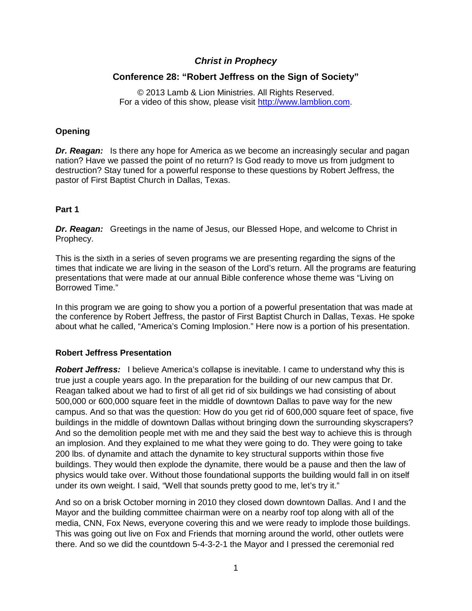# *Christ in Prophecy*

## **Conference 28: "Robert Jeffress on the Sign of Society"**

© 2013 Lamb & Lion Ministries. All Rights Reserved. For a video of this show, please visit [http://www.lamblion.com.](http://www.lamblion.com/)

### **Opening**

*Dr. Reagan:* Is there any hope for America as we become an increasingly secular and pagan nation? Have we passed the point of no return? Is God ready to move us from judgment to destruction? Stay tuned for a powerful response to these questions by Robert Jeffress, the pastor of First Baptist Church in Dallas, Texas.

## **Part 1**

**Dr. Reagan:** Greetings in the name of Jesus, our Blessed Hope, and welcome to Christ in Prophecy.

This is the sixth in a series of seven programs we are presenting regarding the signs of the times that indicate we are living in the season of the Lord's return. All the programs are featuring presentations that were made at our annual Bible conference whose theme was "Living on Borrowed Time."

In this program we are going to show you a portion of a powerful presentation that was made at the conference by Robert Jeffress, the pastor of First Baptist Church in Dallas, Texas. He spoke about what he called, "America's Coming Implosion." Here now is a portion of his presentation.

### **Robert Jeffress Presentation**

*Robert Jeffress:* I believe America's collapse is inevitable. I came to understand why this is true just a couple years ago. In the preparation for the building of our new campus that Dr. Reagan talked about we had to first of all get rid of six buildings we had consisting of about 500,000 or 600,000 square feet in the middle of downtown Dallas to pave way for the new campus. And so that was the question: How do you get rid of 600,000 square feet of space, five buildings in the middle of downtown Dallas without bringing down the surrounding skyscrapers? And so the demolition people met with me and they said the best way to achieve this is through an implosion. And they explained to me what they were going to do. They were going to take 200 lbs. of dynamite and attach the dynamite to key structural supports within those five buildings. They would then explode the dynamite, there would be a pause and then the law of physics would take over. Without those foundational supports the building would fall in on itself under its own weight. I said, "Well that sounds pretty good to me, let's try it."

And so on a brisk October morning in 2010 they closed down downtown Dallas. And I and the Mayor and the building committee chairman were on a nearby roof top along with all of the media, CNN, Fox News, everyone covering this and we were ready to implode those buildings. This was going out live on Fox and Friends that morning around the world, other outlets were there. And so we did the countdown 5-4-3-2-1 the Mayor and I pressed the ceremonial red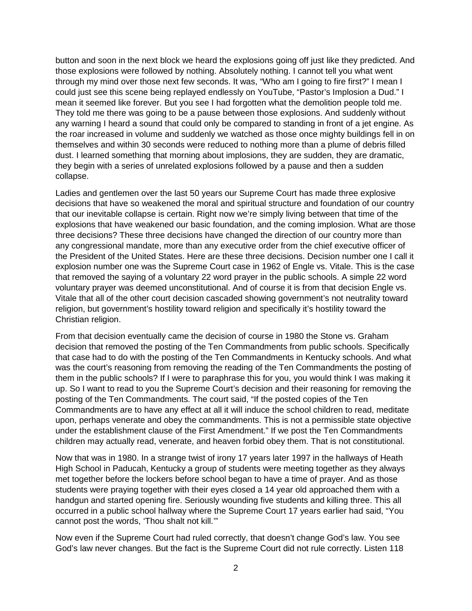button and soon in the next block we heard the explosions going off just like they predicted. And those explosions were followed by nothing. Absolutely nothing. I cannot tell you what went through my mind over those next few seconds. It was, "Who am I going to fire first?" I mean I could just see this scene being replayed endlessly on YouTube, "Pastor's Implosion a Dud." I mean it seemed like forever. But you see I had forgotten what the demolition people told me. They told me there was going to be a pause between those explosions. And suddenly without any warning I heard a sound that could only be compared to standing in front of a jet engine. As the roar increased in volume and suddenly we watched as those once mighty buildings fell in on themselves and within 30 seconds were reduced to nothing more than a plume of debris filled dust. I learned something that morning about implosions, they are sudden, they are dramatic, they begin with a series of unrelated explosions followed by a pause and then a sudden collapse.

Ladies and gentlemen over the last 50 years our Supreme Court has made three explosive decisions that have so weakened the moral and spiritual structure and foundation of our country that our inevitable collapse is certain. Right now we're simply living between that time of the explosions that have weakened our basic foundation, and the coming implosion. What are those three decisions? These three decisions have changed the direction of our country more than any congressional mandate, more than any executive order from the chief executive officer of the President of the United States. Here are these three decisions. Decision number one I call it explosion number one was the Supreme Court case in 1962 of Engle vs. Vitale. This is the case that removed the saying of a voluntary 22 word prayer in the public schools. A simple 22 word voluntary prayer was deemed unconstitutional. And of course it is from that decision Engle vs. Vitale that all of the other court decision cascaded showing government's not neutrality toward religion, but government's hostility toward religion and specifically it's hostility toward the Christian religion.

From that decision eventually came the decision of course in 1980 the Stone vs. Graham decision that removed the posting of the Ten Commandments from public schools. Specifically that case had to do with the posting of the Ten Commandments in Kentucky schools. And what was the court's reasoning from removing the reading of the Ten Commandments the posting of them in the public schools? If I were to paraphrase this for you, you would think I was making it up. So I want to read to you the Supreme Court's decision and their reasoning for removing the posting of the Ten Commandments. The court said, "If the posted copies of the Ten Commandments are to have any effect at all it will induce the school children to read, meditate upon, perhaps venerate and obey the commandments. This is not a permissible state objective under the establishment clause of the First Amendment." If we post the Ten Commandments children may actually read, venerate, and heaven forbid obey them. That is not constitutional.

Now that was in 1980. In a strange twist of irony 17 years later 1997 in the hallways of Heath High School in Paducah, Kentucky a group of students were meeting together as they always met together before the lockers before school began to have a time of prayer. And as those students were praying together with their eyes closed a 14 year old approached them with a handgun and started opening fire. Seriously wounding five students and killing three. This all occurred in a public school hallway where the Supreme Court 17 years earlier had said, "You cannot post the words, 'Thou shalt not kill.'"

Now even if the Supreme Court had ruled correctly, that doesn't change God's law. You see God's law never changes. But the fact is the Supreme Court did not rule correctly. Listen 118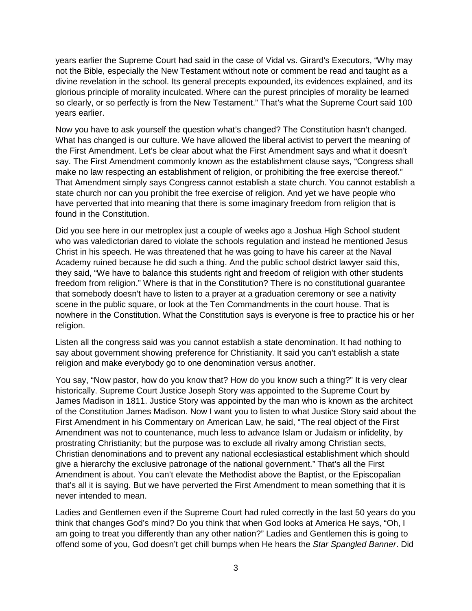years earlier the Supreme Court had said in the case of Vidal vs. Girard's Executors, "Why may not the Bible, especially the New Testament without note or comment be read and taught as a divine revelation in the school. Its general precepts expounded, its evidences explained, and its glorious principle of morality inculcated. Where can the purest principles of morality be learned so clearly, or so perfectly is from the New Testament." That's what the Supreme Court said 100 years earlier.

Now you have to ask yourself the question what's changed? The Constitution hasn't changed. What has changed is our culture. We have allowed the liberal activist to pervert the meaning of the First Amendment. Let's be clear about what the First Amendment says and what it doesn't say. The First Amendment commonly known as the establishment clause says, "Congress shall make no law respecting an establishment of religion, or prohibiting the free exercise thereof." That Amendment simply says Congress cannot establish a state church. You cannot establish a state church nor can you prohibit the free exercise of religion. And yet we have people who have perverted that into meaning that there is some imaginary freedom from religion that is found in the Constitution.

Did you see here in our metroplex just a couple of weeks ago a Joshua High School student who was valedictorian dared to violate the schools regulation and instead he mentioned Jesus Christ in his speech. He was threatened that he was going to have his career at the Naval Academy ruined because he did such a thing. And the public school district lawyer said this, they said, "We have to balance this students right and freedom of religion with other students freedom from religion." Where is that in the Constitution? There is no constitutional guarantee that somebody doesn't have to listen to a prayer at a graduation ceremony or see a nativity scene in the public square, or look at the Ten Commandments in the court house. That is nowhere in the Constitution. What the Constitution says is everyone is free to practice his or her religion.

Listen all the congress said was you cannot establish a state denomination. It had nothing to say about government showing preference for Christianity. It said you can't establish a state religion and make everybody go to one denomination versus another.

You say, "Now pastor, how do you know that? How do you know such a thing?" It is very clear historically. Supreme Court Justice Joseph Story was appointed to the Supreme Court by James Madison in 1811. Justice Story was appointed by the man who is known as the architect of the Constitution James Madison. Now I want you to listen to what Justice Story said about the First Amendment in his Commentary on American Law, he said, "The real object of the First Amendment was not to countenance, much less to advance Islam or Judaism or infidelity, by prostrating Christianity; but the purpose was to exclude all rivalry among Christian sects, Christian denominations and to prevent any national ecclesiastical establishment which should give a hierarchy the exclusive patronage of the national government." That's all the First Amendment is about. You can't elevate the Methodist above the Baptist, or the Episcopalian that's all it is saying. But we have perverted the First Amendment to mean something that it is never intended to mean.

Ladies and Gentlemen even if the Supreme Court had ruled correctly in the last 50 years do you think that changes God's mind? Do you think that when God looks at America He says, "Oh, I am going to treat you differently than any other nation?" Ladies and Gentlemen this is going to offend some of you, God doesn't get chill bumps when He hears the *Star Spangled Banner*. Did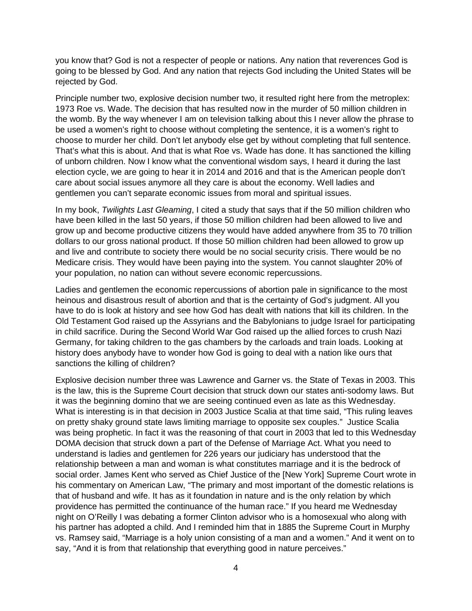you know that? God is not a respecter of people or nations. Any nation that reverences God is going to be blessed by God. And any nation that rejects God including the United States will be rejected by God.

Principle number two, explosive decision number two, it resulted right here from the metroplex: 1973 Roe vs. Wade. The decision that has resulted now in the murder of 50 million children in the womb. By the way whenever I am on television talking about this I never allow the phrase to be used a women's right to choose without completing the sentence, it is a women's right to choose to murder her child. Don't let anybody else get by without completing that full sentence. That's what this is about. And that is what Roe vs. Wade has done. It has sanctioned the killing of unborn children. Now I know what the conventional wisdom says, I heard it during the last election cycle, we are going to hear it in 2014 and 2016 and that is the American people don't care about social issues anymore all they care is about the economy. Well ladies and gentlemen you can't separate economic issues from moral and spiritual issues.

In my book, *Twilights Last Gleaming*, I cited a study that says that if the 50 million children who have been killed in the last 50 years, if those 50 million children had been allowed to live and grow up and become productive citizens they would have added anywhere from 35 to 70 trillion dollars to our gross national product. If those 50 million children had been allowed to grow up and live and contribute to society there would be no social security crisis. There would be no Medicare crisis. They would have been paying into the system. You cannot slaughter 20% of your population, no nation can without severe economic repercussions.

Ladies and gentlemen the economic repercussions of abortion pale in significance to the most heinous and disastrous result of abortion and that is the certainty of God's judgment. All you have to do is look at history and see how God has dealt with nations that kill its children. In the Old Testament God raised up the Assyrians and the Babylonians to judge Israel for participating in child sacrifice. During the Second World War God raised up the allied forces to crush Nazi Germany, for taking children to the gas chambers by the carloads and train loads. Looking at history does anybody have to wonder how God is going to deal with a nation like ours that sanctions the killing of children?

Explosive decision number three was Lawrence and Garner vs. the State of Texas in 2003. This is the law, this is the Supreme Court decision that struck down our states anti-sodomy laws. But it was the beginning domino that we are seeing continued even as late as this Wednesday. What is interesting is in that decision in 2003 Justice Scalia at that time said, "This ruling leaves on pretty shaky ground state laws limiting marriage to opposite sex couples." Justice Scalia was being prophetic. In fact it was the reasoning of that court in 2003 that led to this Wednesday DOMA decision that struck down a part of the Defense of Marriage Act. What you need to understand is ladies and gentlemen for 226 years our judiciary has understood that the relationship between a man and woman is what constitutes marriage and it is the bedrock of social order. James Kent who served as Chief Justice of the [New York] Supreme Court wrote in his commentary on American Law, "The primary and most important of the domestic relations is that of husband and wife. It has as it foundation in nature and is the only relation by which providence has permitted the continuance of the human race." If you heard me Wednesday night on O'Reilly I was debating a former Clinton advisor who is a homosexual who along with his partner has adopted a child. And I reminded him that in 1885 the Supreme Court in Murphy vs. Ramsey said, "Marriage is a holy union consisting of a man and a women." And it went on to say, "And it is from that relationship that everything good in nature perceives."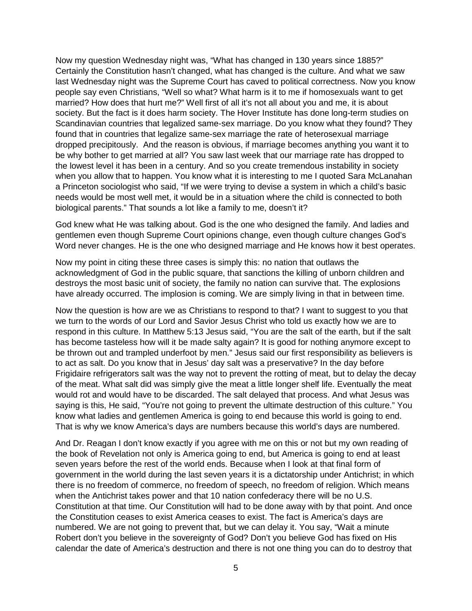Now my question Wednesday night was, "What has changed in 130 years since 1885?" Certainly the Constitution hasn't changed, what has changed is the culture. And what we saw last Wednesday night was the Supreme Court has caved to political correctness. Now you know people say even Christians, "Well so what? What harm is it to me if homosexuals want to get married? How does that hurt me?" Well first of all it's not all about you and me, it is about society. But the fact is it does harm society. The Hover Institute has done long-term studies on Scandinavian countries that legalized same-sex marriage. Do you know what they found? They found that in countries that legalize same-sex marriage the rate of heterosexual marriage dropped precipitously. And the reason is obvious, if marriage becomes anything you want it to be why bother to get married at all? You saw last week that our marriage rate has dropped to the lowest level it has been in a century. And so you create tremendous instability in society when you allow that to happen. You know what it is interesting to me I quoted Sara McLanahan a Princeton sociologist who said, "If we were trying to devise a system in which a child's basic needs would be most well met, it would be in a situation where the child is connected to both biological parents." That sounds a lot like a family to me, doesn't it?

God knew what He was talking about. God is the one who designed the family. And ladies and gentlemen even though Supreme Court opinions change, even though culture changes God's Word never changes. He is the one who designed marriage and He knows how it best operates.

Now my point in citing these three cases is simply this: no nation that outlaws the acknowledgment of God in the public square, that sanctions the killing of unborn children and destroys the most basic unit of society, the family no nation can survive that. The explosions have already occurred. The implosion is coming. We are simply living in that in between time.

Now the question is how are we as Christians to respond to that? I want to suggest to you that we turn to the words of our Lord and Savior Jesus Christ who told us exactly how we are to respond in this culture. In Matthew 5:13 Jesus said, "You are the salt of the earth, but if the salt has become tasteless how will it be made salty again? It is good for nothing anymore except to be thrown out and trampled underfoot by men." Jesus said our first responsibility as believers is to act as salt. Do you know that in Jesus' day salt was a preservative? In the day before Frigidaire refrigerators salt was the way not to prevent the rotting of meat, but to delay the decay of the meat. What salt did was simply give the meat a little longer shelf life. Eventually the meat would rot and would have to be discarded. The salt delayed that process. And what Jesus was saying is this, He said, "You're not going to prevent the ultimate destruction of this culture." You know what ladies and gentlemen America is going to end because this world is going to end. That is why we know America's days are numbers because this world's days are numbered.

And Dr. Reagan I don't know exactly if you agree with me on this or not but my own reading of the book of Revelation not only is America going to end, but America is going to end at least seven years before the rest of the world ends. Because when I look at that final form of government in the world during the last seven years it is a dictatorship under Antichrist; in which there is no freedom of commerce, no freedom of speech, no freedom of religion. Which means when the Antichrist takes power and that 10 nation confederacy there will be no U.S. Constitution at that time. Our Constitution will had to be done away with by that point. And once the Constitution ceases to exist America ceases to exist. The fact is America's days are numbered. We are not going to prevent that, but we can delay it. You say, "Wait a minute Robert don't you believe in the sovereignty of God? Don't you believe God has fixed on His calendar the date of America's destruction and there is not one thing you can do to destroy that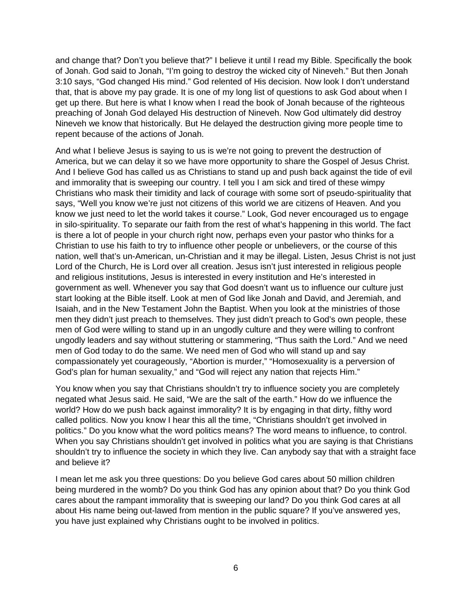and change that? Don't you believe that?" I believe it until I read my Bible. Specifically the book of Jonah. God said to Jonah, "I'm going to destroy the wicked city of Nineveh." But then Jonah 3:10 says, "God changed His mind." God relented of His decision. Now look I don't understand that, that is above my pay grade. It is one of my long list of questions to ask God about when I get up there. But here is what I know when I read the book of Jonah because of the righteous preaching of Jonah God delayed His destruction of Nineveh. Now God ultimately did destroy Nineveh we know that historically. But He delayed the destruction giving more people time to repent because of the actions of Jonah.

And what I believe Jesus is saying to us is we're not going to prevent the destruction of America, but we can delay it so we have more opportunity to share the Gospel of Jesus Christ. And I believe God has called us as Christians to stand up and push back against the tide of evil and immorality that is sweeping our country. I tell you I am sick and tired of these wimpy Christians who mask their timidity and lack of courage with some sort of pseudo-spirituality that says, "Well you know we're just not citizens of this world we are citizens of Heaven. And you know we just need to let the world takes it course." Look, God never encouraged us to engage in silo-spirituality. To separate our faith from the rest of what's happening in this world. The fact is there a lot of people in your church right now, perhaps even your pastor who thinks for a Christian to use his faith to try to influence other people or unbelievers, or the course of this nation, well that's un-American, un-Christian and it may be illegal. Listen, Jesus Christ is not just Lord of the Church, He is Lord over all creation. Jesus isn't just interested in religious people and religious institutions, Jesus is interested in every institution and He's interested in government as well. Whenever you say that God doesn't want us to influence our culture just start looking at the Bible itself. Look at men of God like Jonah and David, and Jeremiah, and Isaiah, and in the New Testament John the Baptist. When you look at the ministries of those men they didn't just preach to themselves. They just didn't preach to God's own people, these men of God were willing to stand up in an ungodly culture and they were willing to confront ungodly leaders and say without stuttering or stammering, "Thus saith the Lord." And we need men of God today to do the same. We need men of God who will stand up and say compassionately yet courageously, "Abortion is murder," "Homosexuality is a perversion of God's plan for human sexuality," and "God will reject any nation that rejects Him."

You know when you say that Christians shouldn't try to influence society you are completely negated what Jesus said. He said, "We are the salt of the earth." How do we influence the world? How do we push back against immorality? It is by engaging in that dirty, filthy word called politics. Now you know I hear this all the time, "Christians shouldn't get involved in politics." Do you know what the word politics means? The word means to influence, to control. When you say Christians shouldn't get involved in politics what you are saying is that Christians shouldn't try to influence the society in which they live. Can anybody say that with a straight face and believe it?

I mean let me ask you three questions: Do you believe God cares about 50 million children being murdered in the womb? Do you think God has any opinion about that? Do you think God cares about the rampant immorality that is sweeping our land? Do you think God cares at all about His name being out-lawed from mention in the public square? If you've answered yes, you have just explained why Christians ought to be involved in politics.